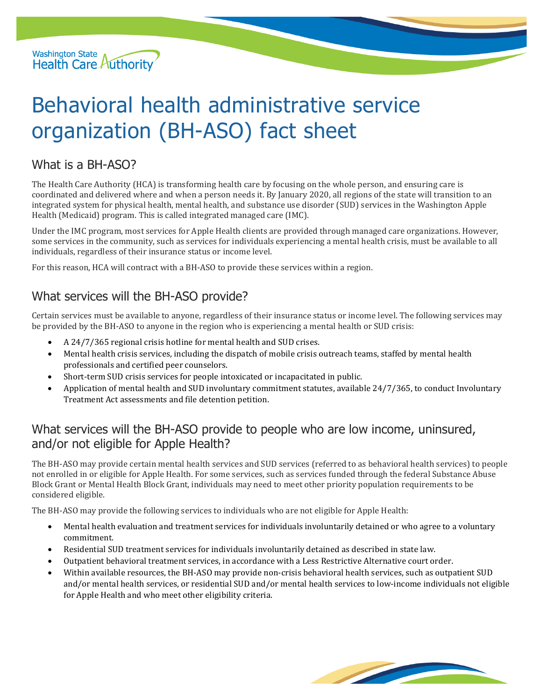

# Behavioral health administrative service organization (BH-ASO) fact sheet

### What is a BH-ASO?

The Health Care Authority (HCA) is transforming health care by focusing on the whole person, and ensuring care is coordinated and delivered where and when a person needs it. By January 2020, all regions of the state will transition to an integrated system for physical health, mental health, and substance use disorder (SUD) services in the Washington Apple Health (Medicaid) program. This is called integrated managed care (IMC).

Under the IMC program, most services for Apple Health clients are provided through managed care organizations. However, some services in the community, such as services for individuals experiencing a mental health crisis, must be available to all individuals, regardless of their insurance status or income level.

For this reason, HCA will contract with a BH-ASO to provide these services within a region.

## What services will the BH-ASO provide?

Certain services must be available to anyone, regardless of their insurance status or income level. The following services may be provided by the BH-ASO to anyone in the region who is experiencing a mental health or SUD crisis:

- A 24/7/365 regional crisis hotline for mental health and SUD crises.
- Mental health crisis services, including the dispatch of mobile crisis outreach teams, staffed by mental health professionals and certified peer counselors.
- Short-term SUD crisis services for people intoxicated or incapacitated in public.
- Application of mental health and SUD involuntary commitment statutes, available 24/7/365, to conduct Involuntary Treatment Act assessments and file detention petition.

### What services will the BH-ASO provide to people who are low income, uninsured, and/or not eligible for Apple Health?

The BH-ASO may provide certain mental health services and SUD services (referred to as behavioral health services) to people not enrolled in or eligible for Apple Health. For some services, such as services funded through the federal Substance Abuse Block Grant or Mental Health Block Grant, individuals may need to meet other priority population requirements to be considered eligible.

The BH-ASO may provide the following services to individuals who are not eligible for Apple Health:

- Mental health evaluation and treatment services for individuals involuntarily detained or who agree to a voluntary commitment.
- Residential SUD treatment services for individuals involuntarily detained as described in state law.
- Outpatient behavioral treatment services, in accordance with a Less Restrictive Alternative court order.
- Within available resources, the BH-ASO may provide non-crisis behavioral health services, such as outpatient SUD and/or mental health services, or residential SUD and/or mental health services to low-income individuals not eligible for Apple Health and who meet other eligibility criteria.